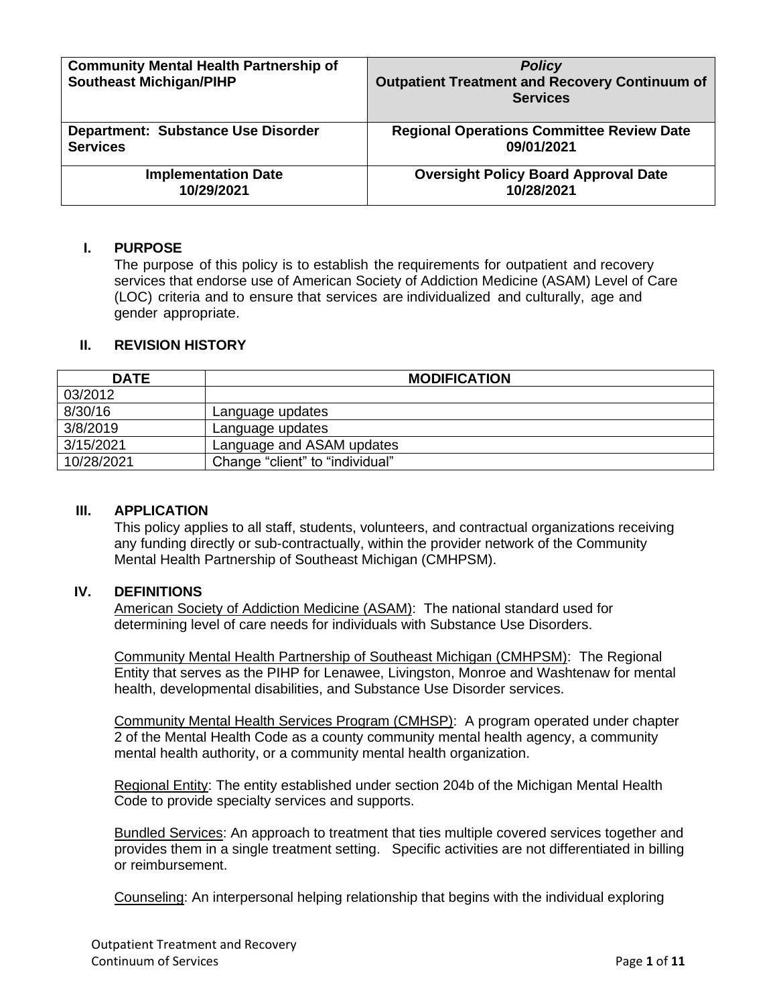| <b>Community Mental Health Partnership of</b><br><b>Southeast Michigan/PIHP</b> | <b>Policy</b><br><b>Outpatient Treatment and Recovery Continuum of</b><br><b>Services</b> |
|---------------------------------------------------------------------------------|-------------------------------------------------------------------------------------------|
| <b>Department: Substance Use Disorder</b>                                       | <b>Regional Operations Committee Review Date</b>                                          |
| <b>Services</b>                                                                 | 09/01/2021                                                                                |
| <b>Implementation Date</b>                                                      | <b>Oversight Policy Board Approval Date</b>                                               |
| 10/29/2021                                                                      | 10/28/2021                                                                                |

## **I. PURPOSE**

The purpose of this policy is to establish the requirements for outpatient and recovery services that endorse use of American Society of Addiction Medicine (ASAM) Level of Care (LOC) criteria and to ensure that services are individualized and culturally, age and gender appropriate.

## **II. REVISION HISTORY**

| <b>DATE</b> | <b>MODIFICATION</b>             |
|-------------|---------------------------------|
| 03/2012     |                                 |
| 8/30/16     | Language updates                |
| 3/8/2019    | Language updates                |
| 3/15/2021   | Language and ASAM updates       |
| 10/28/2021  | Change "client" to "individual" |

### **III. APPLICATION**

This policy applies to all staff, students, volunteers, and contractual organizations receiving any funding directly or sub-contractually, within the provider network of the Community Mental Health Partnership of Southeast Michigan (CMHPSM).

### **IV. DEFINITIONS**

American Society of Addiction Medicine (ASAM): The national standard used for determining level of care needs for individuals with Substance Use Disorders.

Community Mental Health Partnership of Southeast Michigan (CMHPSM): The Regional Entity that serves as the PIHP for Lenawee, Livingston, Monroe and Washtenaw for mental health, developmental disabilities, and Substance Use Disorder services.

Community Mental Health Services Program (CMHSP): A program operated under chapter 2 of the Mental Health Code as a county community mental health agency, a community mental health authority, or a community mental health organization.

Regional Entity: The entity established under section 204b of the Michigan Mental Health Code to provide specialty services and supports.

Bundled Services: An approach to treatment that ties multiple covered services together and provides them in a single treatment setting. Specific activities are not differentiated in billing or reimbursement.

Counseling: An interpersonal helping relationship that begins with the individual exploring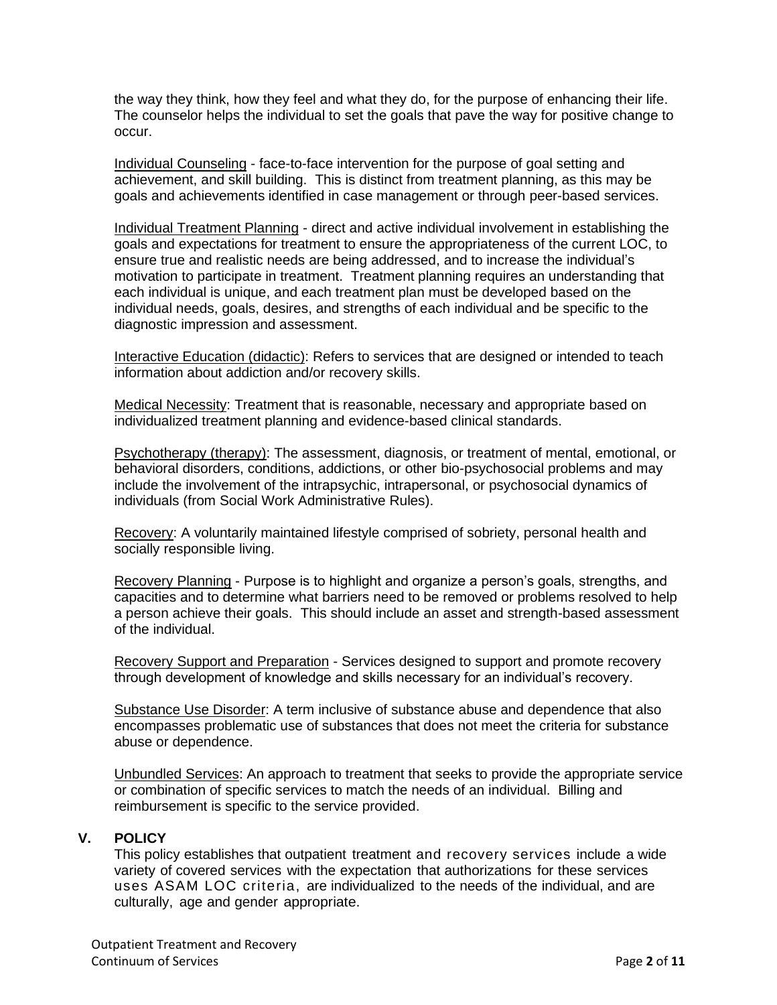the way they think, how they feel and what they do, for the purpose of enhancing their life. The counselor helps the individual to set the goals that pave the way for positive change to occur.

Individual Counseling - face-to-face intervention for the purpose of goal setting and achievement, and skill building. This is distinct from treatment planning, as this may be goals and achievements identified in case management or through peer-based services.

Individual Treatment Planning - direct and active individual involvement in establishing the goals and expectations for treatment to ensure the appropriateness of the current LOC, to ensure true and realistic needs are being addressed, and to increase the individual's motivation to participate in treatment. Treatment planning requires an understanding that each individual is unique, and each treatment plan must be developed based on the individual needs, goals, desires, and strengths of each individual and be specific to the diagnostic impression and assessment.

Interactive Education (didactic): Refers to services that are designed or intended to teach information about addiction and/or recovery skills.

Medical Necessity: Treatment that is reasonable, necessary and appropriate based on individualized treatment planning and evidence-based clinical standards.

Psychotherapy (therapy): The assessment, diagnosis, or treatment of mental, emotional, or behavioral disorders, conditions, addictions, or other bio-psychosocial problems and may include the involvement of the intrapsychic, intrapersonal, or psychosocial dynamics of individuals (from Social Work Administrative Rules).

Recovery: A voluntarily maintained lifestyle comprised of sobriety, personal health and socially responsible living.

Recovery Planning - Purpose is to highlight and organize a person's goals, strengths, and capacities and to determine what barriers need to be removed or problems resolved to help a person achieve their goals. This should include an asset and strength-based assessment of the individual.

Recovery Support and Preparation - Services designed to support and promote recovery through development of knowledge and skills necessary for an individual's recovery.

Substance Use Disorder: A term inclusive of substance abuse and dependence that also encompasses problematic use of substances that does not meet the criteria for substance abuse or dependence.

Unbundled Services: An approach to treatment that seeks to provide the appropriate service or combination of specific services to match the needs of an individual. Billing and reimbursement is specific to the service provided.

# **V. POLICY**

This policy establishes that outpatient treatment and recovery services include a wide variety of covered services with the expectation that authorizations for these services uses ASAM LOC criteria, are individualized to the needs of the individual, and are culturally, age and gender appropriate.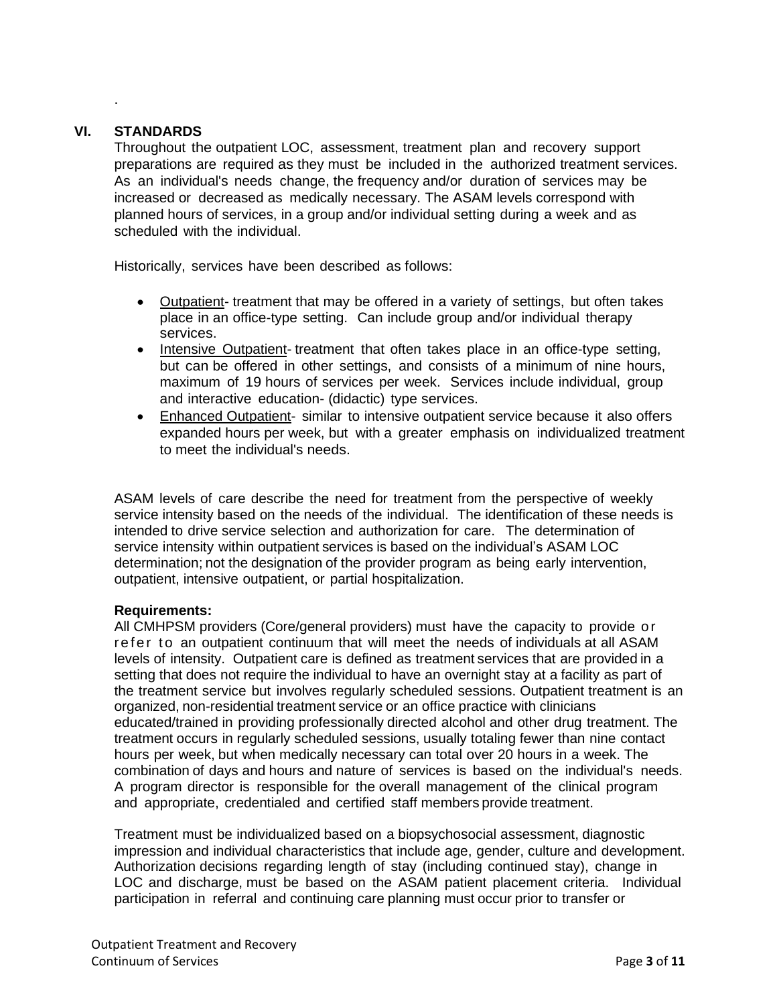# **VI. STANDARDS**

.

Throughout the outpatient LOC, assessment, treatment plan and recovery support preparations are required as they must be included in the authorized treatment services. As an individual's needs change, the frequency and/or duration of services may be increased or decreased as medically necessary. The ASAM levels correspond with planned hours of services, in a group and/or individual setting during a week and as scheduled with the individual.

Historically, services have been described as follows:

- Outpatient- treatment that may be offered in a variety of settings, but often takes place in an office-type setting. Can include group and/or individual therapy services.
- Intensive Outpatient- treatment that often takes place in an office-type setting, but can be offered in other settings, and consists of a minimum of nine hours, maximum of 19 hours of services per week. Services include individual, group and interactive education- (didactic) type services.
- Enhanced Outpatient- similar to intensive outpatient service because it also offers expanded hours per week, but with a greater emphasis on individualized treatment to meet the individual's needs.

ASAM levels of care describe the need for treatment from the perspective of weekly service intensity based on the needs of the individual. The identification of these needs is intended to drive service selection and authorization for care. The determination of service intensity within outpatient services is based on the individual's ASAM LOC determination; not the designation of the provider program as being early intervention, outpatient, intensive outpatient, or partial hospitalization.

### **Requirements:**

All CMHPSM providers (Core/general providers) must have the capacity to provide o r refer to an outpatient continuum that will meet the needs of individuals at all ASAM levels of intensity. Outpatient care is defined as treatment services that are provided in a setting that does not require the individual to have an overnight stay at a facility as part of the treatment service but involves regularly scheduled sessions. Outpatient treatment is an organized, non-residential treatment service or an office practice with clinicians educated/trained in providing professionally directed alcohol and other drug treatment. The treatment occurs in regularly scheduled sessions, usually totaling fewer than nine contact hours per week, but when medically necessary can total over 20 hours in a week. The combination of days and hours and nature of services is based on the individual's needs. A program director is responsible for the overall management of the clinical program and appropriate, credentialed and certified staff members provide treatment.

Treatment must be individualized based on a biopsychosocial assessment, diagnostic impression and individual characteristics that include age, gender, culture and development. Authorization decisions regarding length of stay (including continued stay), change in LOC and discharge, must be based on the ASAM patient placement criteria. Individual participation in referral and continuing care planning must occur prior to transfer or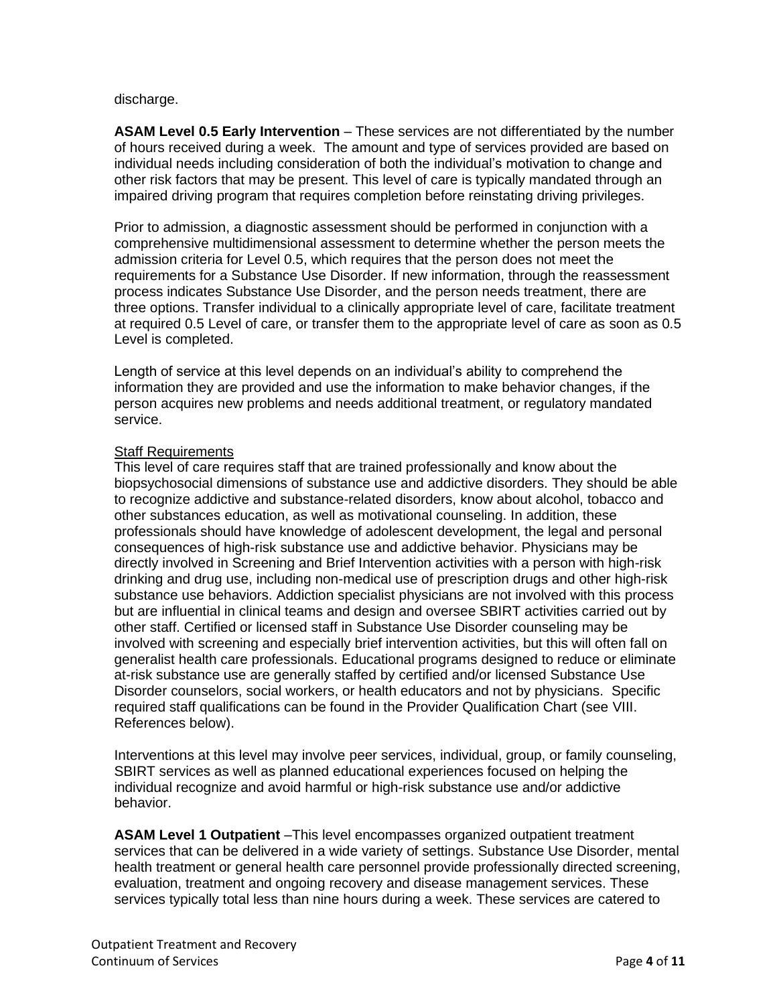### discharge.

**ASAM Level 0.5 Early Intervention** – These services are not differentiated by the number of hours received during a week. The amount and type of services provided are based on individual needs including consideration of both the individual's motivation to change and other risk factors that may be present. This level of care is typically mandated through an impaired driving program that requires completion before reinstating driving privileges.

Prior to admission, a diagnostic assessment should be performed in conjunction with a comprehensive multidimensional assessment to determine whether the person meets the admission criteria for Level 0.5, which requires that the person does not meet the requirements for a Substance Use Disorder. If new information, through the reassessment process indicates Substance Use Disorder, and the person needs treatment, there are three options. Transfer individual to a clinically appropriate level of care, facilitate treatment at required 0.5 Level of care, or transfer them to the appropriate level of care as soon as 0.5 Level is completed.

Length of service at this level depends on an individual's ability to comprehend the information they are provided and use the information to make behavior changes, if the person acquires new problems and needs additional treatment, or regulatory mandated service.

## Staff Requirements

This level of care requires staff that are trained professionally and know about the biopsychosocial dimensions of substance use and addictive disorders. They should be able to recognize addictive and substance-related disorders, know about alcohol, tobacco and other substances education, as well as motivational counseling. In addition, these professionals should have knowledge of adolescent development, the legal and personal consequences of high-risk substance use and addictive behavior. Physicians may be directly involved in Screening and Brief Intervention activities with a person with high-risk drinking and drug use, including non-medical use of prescription drugs and other high-risk substance use behaviors. Addiction specialist physicians are not involved with this process but are influential in clinical teams and design and oversee SBIRT activities carried out by other staff. Certified or licensed staff in Substance Use Disorder counseling may be involved with screening and especially brief intervention activities, but this will often fall on generalist health care professionals. Educational programs designed to reduce or eliminate at-risk substance use are generally staffed by certified and/or licensed Substance Use Disorder counselors, social workers, or health educators and not by physicians. Specific required staff qualifications can be found in the Provider Qualification Chart (see VIII. References below).

Interventions at this level may involve peer services, individual, group, or family counseling, SBIRT services as well as planned educational experiences focused on helping the individual recognize and avoid harmful or high-risk substance use and/or addictive behavior.

**ASAM Level 1 Outpatient** –This level encompasses organized outpatient treatment services that can be delivered in a wide variety of settings. Substance Use Disorder, mental health treatment or general health care personnel provide professionally directed screening, evaluation, treatment and ongoing recovery and disease management services. These services typically total less than nine hours during a week. These services are catered to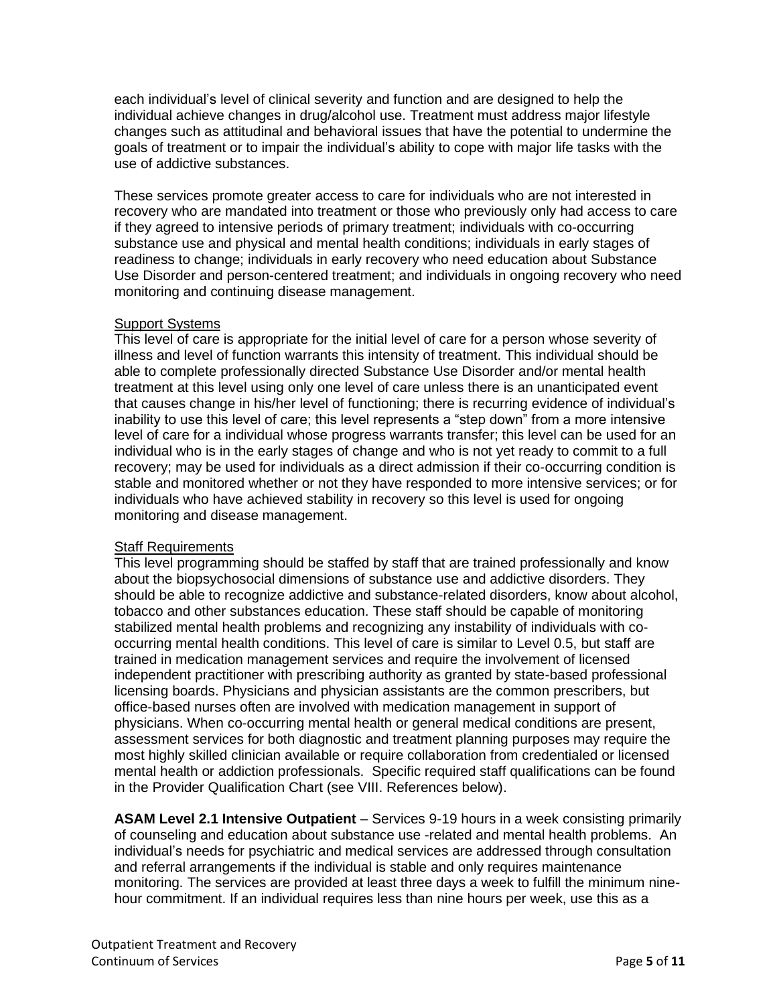each individual's level of clinical severity and function and are designed to help the individual achieve changes in drug/alcohol use. Treatment must address major lifestyle changes such as attitudinal and behavioral issues that have the potential to undermine the goals of treatment or to impair the individual's ability to cope with major life tasks with the use of addictive substances.

These services promote greater access to care for individuals who are not interested in recovery who are mandated into treatment or those who previously only had access to care if they agreed to intensive periods of primary treatment; individuals with co-occurring substance use and physical and mental health conditions; individuals in early stages of readiness to change; individuals in early recovery who need education about Substance Use Disorder and person-centered treatment; and individuals in ongoing recovery who need monitoring and continuing disease management.

# Support Systems

This level of care is appropriate for the initial level of care for a person whose severity of illness and level of function warrants this intensity of treatment. This individual should be able to complete professionally directed Substance Use Disorder and/or mental health treatment at this level using only one level of care unless there is an unanticipated event that causes change in his/her level of functioning; there is recurring evidence of individual's inability to use this level of care; this level represents a "step down" from a more intensive level of care for a individual whose progress warrants transfer; this level can be used for an individual who is in the early stages of change and who is not yet ready to commit to a full recovery; may be used for individuals as a direct admission if their co-occurring condition is stable and monitored whether or not they have responded to more intensive services; or for individuals who have achieved stability in recovery so this level is used for ongoing monitoring and disease management.

# Staff Requirements

This level programming should be staffed by staff that are trained professionally and know about the biopsychosocial dimensions of substance use and addictive disorders. They should be able to recognize addictive and substance-related disorders, know about alcohol, tobacco and other substances education. These staff should be capable of monitoring stabilized mental health problems and recognizing any instability of individuals with cooccurring mental health conditions. This level of care is similar to Level 0.5, but staff are trained in medication management services and require the involvement of licensed independent practitioner with prescribing authority as granted by state-based professional licensing boards. Physicians and physician assistants are the common prescribers, but office-based nurses often are involved with medication management in support of physicians. When co-occurring mental health or general medical conditions are present, assessment services for both diagnostic and treatment planning purposes may require the most highly skilled clinician available or require collaboration from credentialed or licensed mental health or addiction professionals. Specific required staff qualifications can be found in the Provider Qualification Chart (see VIII. References below).

**ASAM Level 2.1 Intensive Outpatient** – Services 9-19 hours in a week consisting primarily of counseling and education about substance use -related and mental health problems. An individual's needs for psychiatric and medical services are addressed through consultation and referral arrangements if the individual is stable and only requires maintenance monitoring. The services are provided at least three days a week to fulfill the minimum ninehour commitment. If an individual requires less than nine hours per week, use this as a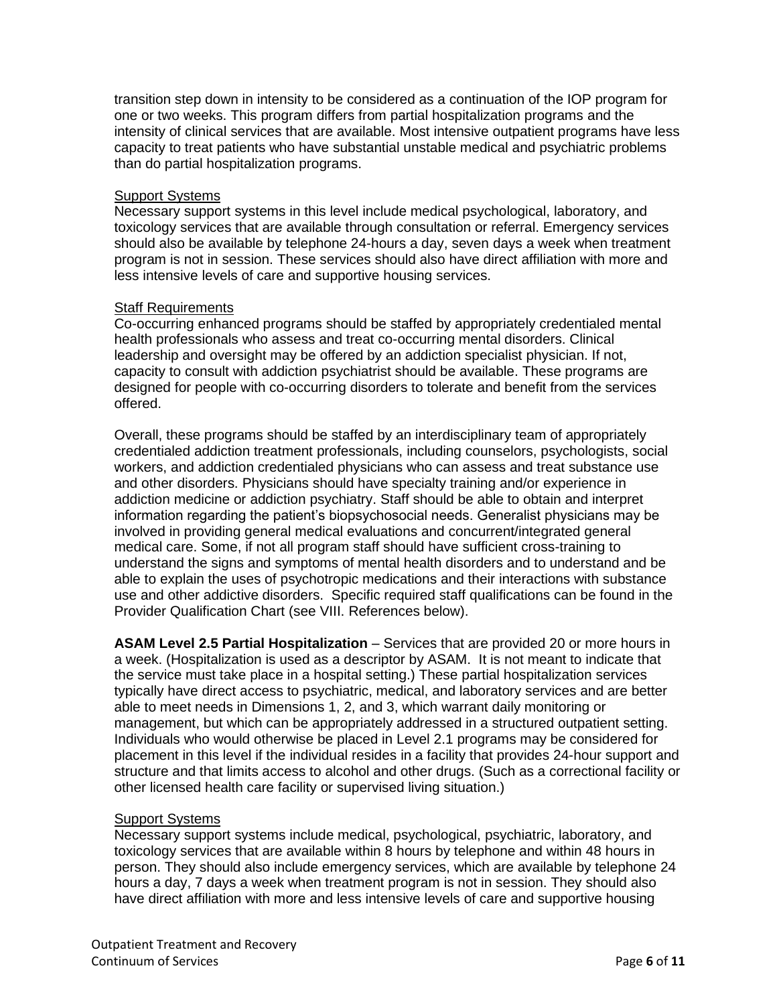transition step down in intensity to be considered as a continuation of the IOP program for one or two weeks. This program differs from partial hospitalization programs and the intensity of clinical services that are available. Most intensive outpatient programs have less capacity to treat patients who have substantial unstable medical and psychiatric problems than do partial hospitalization programs.

### Support Systems

Necessary support systems in this level include medical psychological, laboratory, and toxicology services that are available through consultation or referral. Emergency services should also be available by telephone 24-hours a day, seven days a week when treatment program is not in session. These services should also have direct affiliation with more and less intensive levels of care and supportive housing services.

# **Staff Requirements**

Co-occurring enhanced programs should be staffed by appropriately credentialed mental health professionals who assess and treat co-occurring mental disorders. Clinical leadership and oversight may be offered by an addiction specialist physician. If not, capacity to consult with addiction psychiatrist should be available. These programs are designed for people with co-occurring disorders to tolerate and benefit from the services offered.

Overall, these programs should be staffed by an interdisciplinary team of appropriately credentialed addiction treatment professionals, including counselors, psychologists, social workers, and addiction credentialed physicians who can assess and treat substance use and other disorders. Physicians should have specialty training and/or experience in addiction medicine or addiction psychiatry. Staff should be able to obtain and interpret information regarding the patient's biopsychosocial needs. Generalist physicians may be involved in providing general medical evaluations and concurrent/integrated general medical care. Some, if not all program staff should have sufficient cross-training to understand the signs and symptoms of mental health disorders and to understand and be able to explain the uses of psychotropic medications and their interactions with substance use and other addictive disorders. Specific required staff qualifications can be found in the Provider Qualification Chart (see VIII. References below).

**ASAM Level 2.5 Partial Hospitalization** – Services that are provided 20 or more hours in a week. (Hospitalization is used as a descriptor by ASAM. It is not meant to indicate that the service must take place in a hospital setting.) These partial hospitalization services typically have direct access to psychiatric, medical, and laboratory services and are better able to meet needs in Dimensions 1, 2, and 3, which warrant daily monitoring or management, but which can be appropriately addressed in a structured outpatient setting. Individuals who would otherwise be placed in Level 2.1 programs may be considered for placement in this level if the individual resides in a facility that provides 24-hour support and structure and that limits access to alcohol and other drugs. (Such as a correctional facility or other licensed health care facility or supervised living situation.)

# Support Systems

Necessary support systems include medical, psychological, psychiatric, laboratory, and toxicology services that are available within 8 hours by telephone and within 48 hours in person. They should also include emergency services, which are available by telephone 24 hours a day, 7 days a week when treatment program is not in session. They should also have direct affiliation with more and less intensive levels of care and supportive housing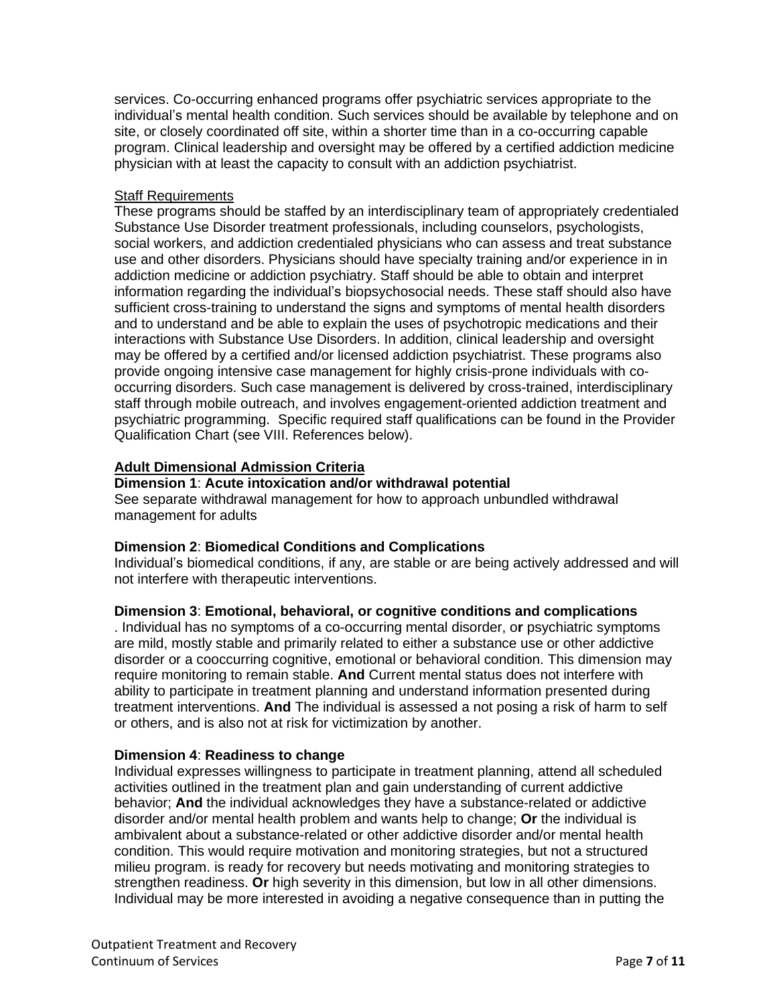services. Co-occurring enhanced programs offer psychiatric services appropriate to the individual's mental health condition. Such services should be available by telephone and on site, or closely coordinated off site, within a shorter time than in a co-occurring capable program. Clinical leadership and oversight may be offered by a certified addiction medicine physician with at least the capacity to consult with an addiction psychiatrist.

## **Staff Requirements**

These programs should be staffed by an interdisciplinary team of appropriately credentialed Substance Use Disorder treatment professionals, including counselors, psychologists, social workers, and addiction credentialed physicians who can assess and treat substance use and other disorders. Physicians should have specialty training and/or experience in in addiction medicine or addiction psychiatry. Staff should be able to obtain and interpret information regarding the individual's biopsychosocial needs. These staff should also have sufficient cross-training to understand the signs and symptoms of mental health disorders and to understand and be able to explain the uses of psychotropic medications and their interactions with Substance Use Disorders. In addition, clinical leadership and oversight may be offered by a certified and/or licensed addiction psychiatrist. These programs also provide ongoing intensive case management for highly crisis-prone individuals with cooccurring disorders. Such case management is delivered by cross-trained, interdisciplinary staff through mobile outreach, and involves engagement-oriented addiction treatment and psychiatric programming. Specific required staff qualifications can be found in the Provider Qualification Chart (see VIII. References below).

# **Adult Dimensional Admission Criteria**

## **Dimension 1**: **Acute intoxication and/or withdrawal potential**

See separate withdrawal management for how to approach unbundled withdrawal management for adults

# **Dimension 2**: **Biomedical Conditions and Complications**

Individual's biomedical conditions, if any, are stable or are being actively addressed and will not interfere with therapeutic interventions.

# **Dimension 3**: **Emotional, behavioral, or cognitive conditions and complications**

. Individual has no symptoms of a co-occurring mental disorder, o**r** psychiatric symptoms are mild, mostly stable and primarily related to either a substance use or other addictive disorder or a cooccurring cognitive, emotional or behavioral condition. This dimension may require monitoring to remain stable. **And** Current mental status does not interfere with ability to participate in treatment planning and understand information presented during treatment interventions. **And** The individual is assessed a not posing a risk of harm to self or others, and is also not at risk for victimization by another.

# **Dimension 4**: **Readiness to change**

Individual expresses willingness to participate in treatment planning, attend all scheduled activities outlined in the treatment plan and gain understanding of current addictive behavior; **And** the individual acknowledges they have a substance-related or addictive disorder and/or mental health problem and wants help to change; **Or** the individual is ambivalent about a substance-related or other addictive disorder and/or mental health condition. This would require motivation and monitoring strategies, but not a structured milieu program. is ready for recovery but needs motivating and monitoring strategies to strengthen readiness. **Or** high severity in this dimension, but low in all other dimensions. Individual may be more interested in avoiding a negative consequence than in putting the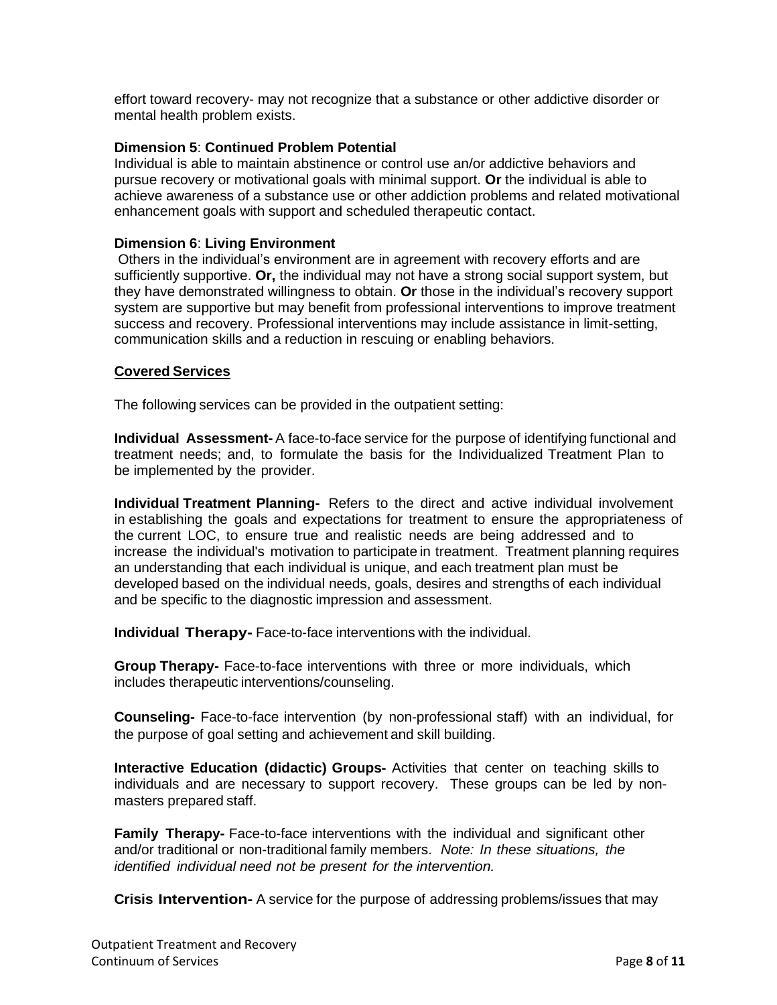effort toward recovery- may not recognize that a substance or other addictive disorder or mental health problem exists.

## **Dimension 5**: **Continued Problem Potential**

Individual is able to maintain abstinence or control use an/or addictive behaviors and pursue recovery or motivational goals with minimal support. **Or** the individual is able to achieve awareness of a substance use or other addiction problems and related motivational enhancement goals with support and scheduled therapeutic contact.

### **Dimension 6**: **Living Environment**

Others in the individual's environment are in agreement with recovery efforts and are sufficiently supportive. **Or,** the individual may not have a strong social support system, but they have demonstrated willingness to obtain. **Or** those in the individual's recovery support system are supportive but may benefit from professional interventions to improve treatment success and recovery. Professional interventions may include assistance in limit-setting, communication skills and a reduction in rescuing or enabling behaviors.

### **Covered Services**

The following services can be provided in the outpatient setting:

**Individual Assessment-** A face-to-face service for the purpose of identifying functional and treatment needs; and, to formulate the basis for the Individualized Treatment Plan to be implemented by the provider.

**Individual Treatment Planning-** Refers to the direct and active individual involvement in establishing the goals and expectations for treatment to ensure the appropriateness of the current LOC, to ensure true and realistic needs are being addressed and to increase the individual's motivation to participate in treatment. Treatment planning requires an understanding that each individual is unique, and each treatment plan must be developed based on the individual needs, goals, desires and strengths of each individual and be specific to the diagnostic impression and assessment.

**Individual Therapy-** Face-to-face interventions with the individual.

**Group Therapy-** Face-to-face interventions with three or more individuals, which includes therapeutic interventions/counseling.

**Counseling-** Face-to-face intervention (by non-professional staff) with an individual, for the purpose of goal setting and achievement and skill building.

**Interactive Education (didactic) Groups-** Activities that center on teaching skills to individuals and are necessary to support recovery. These groups can be led by nonmasters prepared staff.

**Family Therapy-** Face-to-face interventions with the individual and significant other and/or traditional or non-traditional family members. *Note: In these situations, the identified individual need not be present for the intervention.*

**Crisis Intervention-** A service for the purpose of addressing problems/issues that may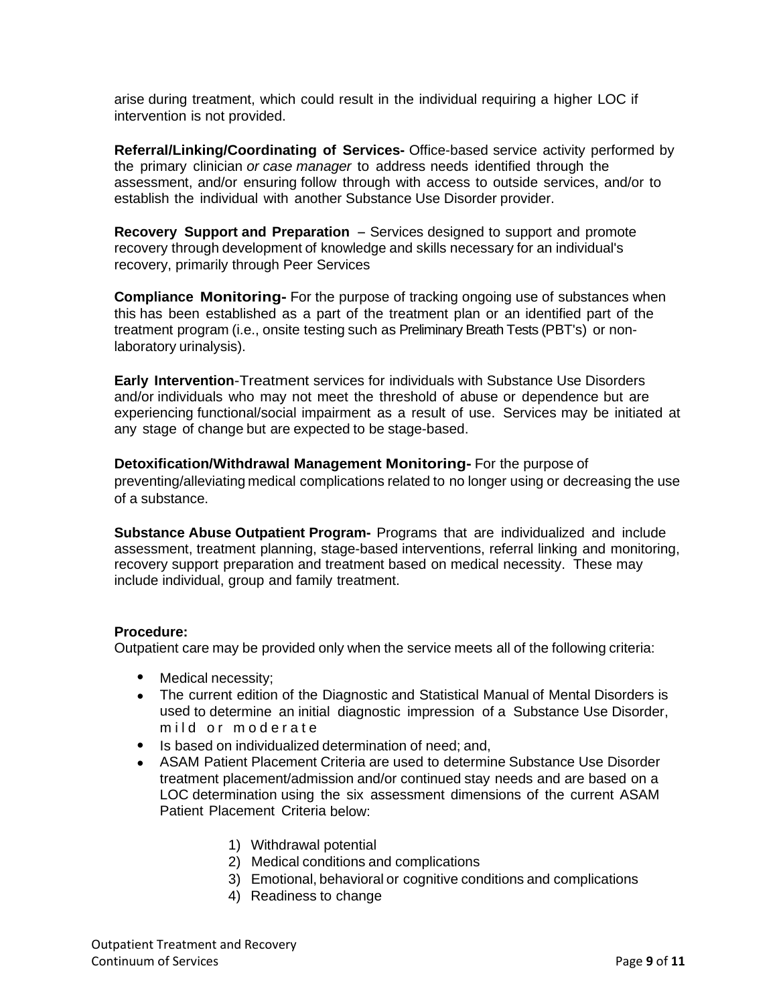arise during treatment, which could result in the individual requiring a higher LOC if intervention is not provided.

**Referral/Linking/Coordinating of Services-** Office-based service activity performed by the primary clinician *or case manager* to address needs identified through the assessment, and/or ensuring follow through with access to outside services, and/or to establish the individual with another Substance Use Disorder provider.

**Recovery Support and Preparation** - Services designed to support and promote recovery through development of knowledge and skills necessary for an individual's recovery, primarily through Peer Services

**Compliance Monitoring-** For the purpose of tracking ongoing use of substances when this has been established as a part of the treatment plan or an identified part of the treatment program (i.e., onsite testing such as Preliminary Breath Tests (PBT's) or nonlaboratory urinalysis).

**Early Intervention**-Treatment services for individuals with Substance Use Disorders and/or individuals who may not meet the threshold of abuse or dependence but are experiencing functional/social impairment as a result of use. Services may be initiated at any stage of change but are expected to be stage-based.

**Detoxification/Withdrawal Management Monitoring-** For the purpose of preventing/alleviating medical complications related to no longer using or decreasing the use of a substance.

**Substance Abuse Outpatient Program-** Programs that are individualized and include assessment, treatment planning, stage-based interventions, referral linking and monitoring, recovery support preparation and treatment based on medical necessity. These may include individual, group and family treatment.

# **Procedure:**

Outpatient care may be provided only when the service meets all of the following criteria:

- Medical necessity;
- The current edition of the Diagnostic and Statistical Manual of Mental Disorders is used to determine an initial diagnostic impression of a Substance Use Disorder, mild or moderate
- Is based on individualized determination of need; and,
- ASAM Patient Placement Criteria are used to determine Substance Use Disorder treatment placement/admission and/or continued stay needs and are based on a LOC determination using the six assessment dimensions of the current ASAM Patient Placement Criteria below:
	- 1) Withdrawal potential
	- 2) Medical conditions and complications
	- 3) Emotional, behavioral or cognitive conditions and complications
	- 4) Readiness to change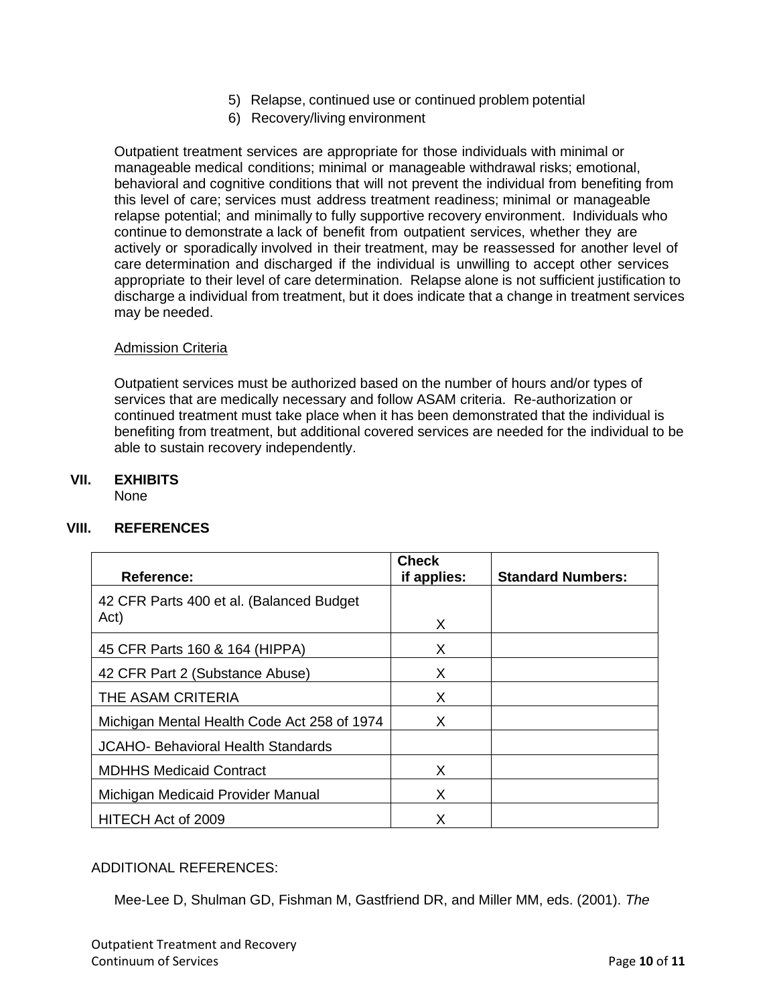- 5) Relapse, continued use or continued problem potential
- 6) Recovery/living environment

Outpatient treatment services are appropriate for those individuals with minimal or manageable medical conditions; minimal or manageable withdrawal risks; emotional, behavioral and cognitive conditions that will not prevent the individual from benefiting from this level of care; services must address treatment readiness; minimal or manageable relapse potential; and minimally to fully supportive recovery environment. Individuals who continue to demonstrate a lack of benefit from outpatient services, whether they are actively or sporadically involved in their treatment, may be reassessed for another level of care determination and discharged if the individual is unwilling to accept other services appropriate to their level of care determination. Relapse alone is not sufficient justification to discharge a individual from treatment, but it does indicate that a change in treatment services may be needed.

## Admission Criteria

Outpatient services must be authorized based on the number of hours and/or types of services that are medically necessary and follow ASAM criteria. Re-authorization or continued treatment must take place when it has been demonstrated that the individual is benefiting from treatment, but additional covered services are needed for the individual to be able to sustain recovery independently.

## **VII. EXHIBITS**

None

# **VIII. REFERENCES**

| <b>Reference:</b>                           | <b>Check</b><br>if applies: | <b>Standard Numbers:</b> |
|---------------------------------------------|-----------------------------|--------------------------|
| 42 CFR Parts 400 et al. (Balanced Budget    |                             |                          |
| Act)                                        | X                           |                          |
| 45 CFR Parts 160 & 164 (HIPPA)              | X                           |                          |
| 42 CFR Part 2 (Substance Abuse)             | X                           |                          |
| THE ASAM CRITERIA                           | X                           |                          |
| Michigan Mental Health Code Act 258 of 1974 | X                           |                          |
| <b>JCAHO- Behavioral Health Standards</b>   |                             |                          |
| <b>MDHHS Medicaid Contract</b>              | X                           |                          |
| Michigan Medicaid Provider Manual           | X                           |                          |
| HITECH Act of 2009                          | X                           |                          |

# ADDITIONAL REFERENCES:

Mee-Lee D, Shulman GD, Fishman M, Gastfriend DR, and Miller MM, eds. (2001). *The*